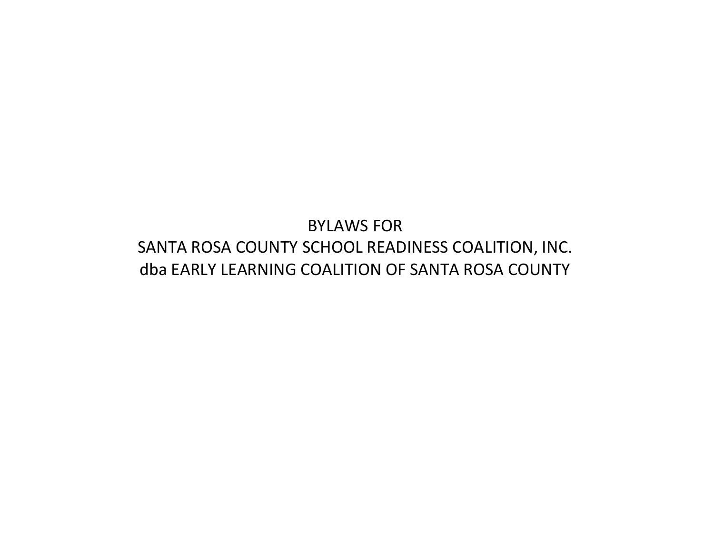# BYLAWS FOR SANTA ROSA COUNTY SCHOOL READINESS COALITION, INC. dba EARLY LEARNING COALITION OF SANTA ROSA COUNTY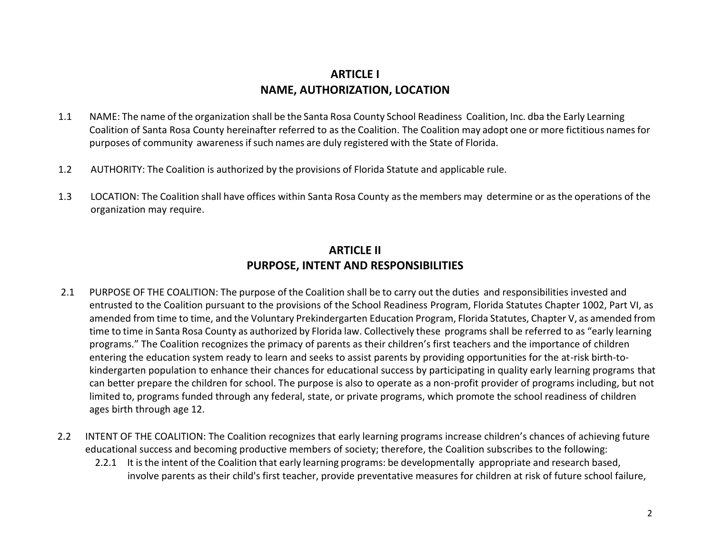# **ARTICLE I NAME, AUTHORIZATION, LOCATION**

- 1.1 NAME: The name of the organization shall be the Santa Rosa County School Readiness Coalition, Inc. dba the Early Learning Coalition of Santa Rosa County hereinafter referred to as the Coalition. The Coalition may adopt one or more fictitious namesfor purposes of community awarenessifsuch names are duly registered with the State of Florida.
- 1.2 AUTHORITY: The Coalition is authorized by the provisions of Florida Statute and applicable rule.
- 1.3 LOCATION: The Coalition shall have offices within Santa Rosa County asthe members may determine or asthe operations of the organization may require.

# **ARTICLE II PURPOSE, INTENT AND RESPONSIBILITIES**

- 2.1 PURPOSE OF THE COALITION: The purpose of the Coalition shall be to carry out the duties and responsibilities invested and entrusted to the Coalition pursuant to the provisions of the School Readiness Program, Florida Statutes Chapter 1002, Part VI, as amended from time to time, and the Voluntary Prekindergarten Education Program, Florida Statutes, Chapter V, as amended from time to time in Santa Rosa County as authorized by Florida law. Collectively these programs shall be referred to as "early learning programs." The Coalition recognizes the primacy of parents as their children's first teachers and the importance of children entering the education system ready to learn and seeks to assist parents by providing opportunities for the at-risk birth-tokindergarten population to enhance their chances for educational success by participating in quality early learning programs that can better prepare the children for school. The purpose is also to operate as a non-profit provider of programs including, but not limited to, programs funded through any federal, state, or private programs, which promote the school readiness of children ages birth through age 12.
- 2.2 INTENT OF THE COALITION: The Coalition recognizes that early learning programs increase children's chances of achieving future educational success and becoming productive members of society; therefore, the Coalition subscribes to the following:
	- 2.2.1 It is the intent of the Coalition that early learning programs: be developmentally appropriate and research based, involve parents as their child's first teacher, provide preventative measures for children at risk of future school failure,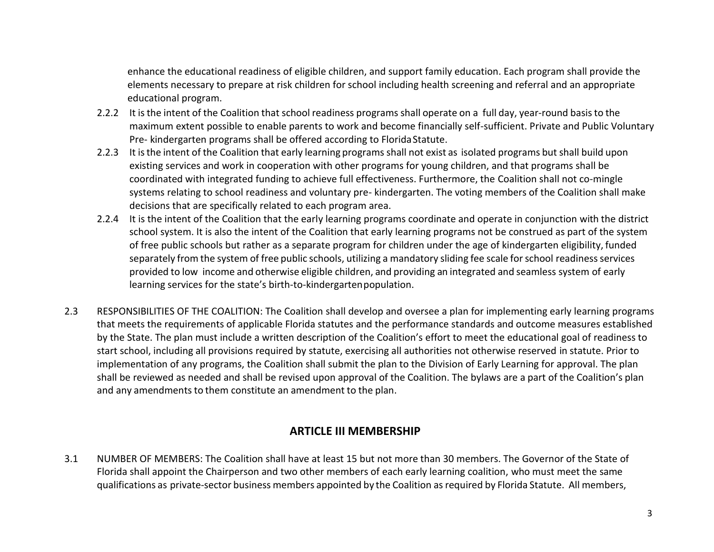enhance the educational readiness of eligible children, and support family education. Each program shall provide the elements necessary to prepare at risk children for school including health screening and referral and an appropriate educational program.

- 2.2.2 It is the intent of the Coalition that school readiness programs shall operate on a full day, year-round basis to the maximum extent possible to enable parents to work and become financially self-sufficient. Private and Public Voluntary Pre- kindergarten programs shall be offered according to Florida Statute.
- 2.2.3 It isthe intent of the Coalition that early learning programs shall not exist as isolated programs but shall build upon existing services and work in cooperation with other programs for young children, and that programs shall be coordinated with integrated funding to achieve full effectiveness. Furthermore, the Coalition shall not co-mingle systems relating to school readiness and voluntary pre- kindergarten. The voting members of the Coalition shall make decisions that are specifically related to each program area.
- 2.2.4 It is the intent of the Coalition that the early learning programs coordinate and operate in conjunction with the district school system. It is also the intent of the Coalition that early learning programs not be construed as part of the system of free public schools but rather as a separate program for children under the age of kindergarten eligibility, funded separately from the system of free public schools, utilizing a mandatory sliding fee scale for school readiness services provided to low income and otherwise eligible children, and providing an integrated and seamless system of early learning services for the state's birth-to-kindergartenpopulation.
- 2.3 RESPONSIBILITIES OF THE COALITION: The Coalition shall develop and oversee a plan for implementing early learning programs that meets the requirements of applicable Florida statutes and the performance standards and outcome measures established by the State. The plan must include a written description of the Coalition's effort to meet the educational goal of readiness to start school, including all provisions required by statute, exercising all authorities not otherwise reserved in statute. Prior to implementation of any programs, the Coalition shall submit the plan to the Division of Early Learning for approval. The plan shall be reviewed as needed and shall be revised upon approval of the Coalition. The bylaws are a part of the Coalition's plan and any amendments to them constitute an amendment to the plan.

#### **ARTICLE III MEMBERSHIP**

3.1 NUMBER OF MEMBERS: The Coalition shall have at least 15 but not more than 30 members. The Governor of the State of Florida shall appoint the Chairperson and two other members of each early learning coalition, who must meet the same qualifications as private-sector business members appointed by the Coalition asrequired by Florida Statute. All members,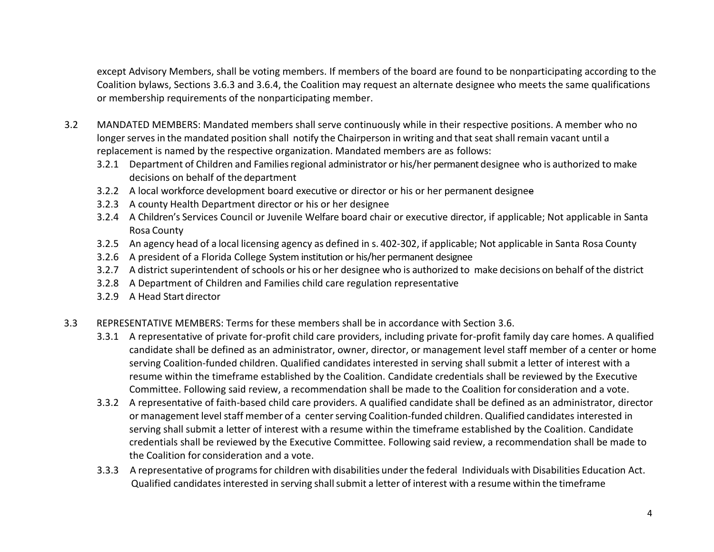except Advisory Members, shall be voting members. If members of the board are found to be nonparticipating according to the Coalition bylaws, Sections 3.6.3 and 3.6.4, the Coalition may request an alternate designee who meets the same qualifications or membership requirements of the nonparticipating member.

- 3.2 MANDATED MEMBERS: Mandated members shall serve continuously while in their respective positions. A member who no longer serves in the mandated position shall notify the Chairperson in writing and that seat shall remain vacant until a replacement is named by the respective organization. Mandated members are as follows:
	- 3.2.1 Department of Children and Familiesregional administrator or his/her permanent designee who is authorized to make decisions on behalf of the department
	- 3.2.2 A local workforce development board executive or director or his or her permanent designee
	- 3.2.3 A county Health Department director or his or her designee
	- 3.2.4 A Children's Services Council or Juvenile Welfare board chair or executive director, if applicable; Not applicable in Santa Rosa County
	- 3.2.5 An agency head of a local licensing agency as defined in s. 402-302, if applicable; Not applicable in Santa Rosa County
	- 3.2.6 A president of a Florida College System institution or his/her permanent designee
	- 3.2.7 A district superintendent of schools or his or her designee who is authorized to make decisions on behalf of the district
	- 3.2.8 A Department of Children and Families child care regulation representative
	- 3.2.9 A Head Start director
- 3.3 REPRESENTATIVE MEMBERS: Terms for these members shall be in accordance with Section 3.6.
	- 3.3.1 A representative of private for-profit child care providers, including private for-profit family day care homes. A qualified candidate shall be defined as an administrator, owner, director, or management level staff member of a center or home serving Coalition-funded children. Qualified candidates interested in serving shall submit a letter of interest with a resume within the timeframe established by the Coalition. Candidate credentials shall be reviewed by the Executive Committee. Following said review, a recommendation shall be made to the Coalition for consideration and a vote.
	- 3.3.2 A representative of faith-based child care providers. A qualified candidate shall be defined as an administrator, director or management level staff member of a center serving Coalition-funded children. Qualified candidates interested in serving shall submit a letter of interest with a resume within the timeframe established by the Coalition. Candidate credentials shall be reviewed by the Executive Committee. Following said review, a recommendation shall be made to the Coalition for consideration and a vote.
	- 3.3.3 A representative of programsfor children with disabilities under the federal Individuals with Disabilities Education Act. Qualified candidates interested in serving shall submit a letter of interest with a resume within the timeframe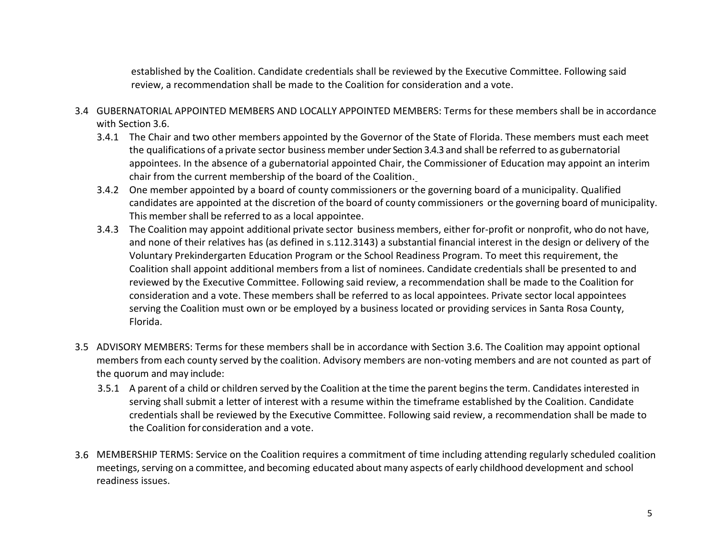established by the Coalition. Candidate credentials shall be reviewed by the Executive Committee. Following said review, a recommendation shall be made to the Coalition for consideration and a vote.

- 3.4 GUBERNATORIAL APPOINTED MEMBERS AND LOCALLY APPOINTED MEMBERS: Terms for these members shall be in accordance with Section 3.6.
	- 3.4.1 The Chair and two other members appointed by the Governor of the State of Florida. These members must each meet the qualifications of a private sector business member under Section 3.4.3 and shall be referred to as gubernatorial appointees. In the absence of a gubernatorial appointed Chair, the Commissioner of Education may appoint an interim chair from the current membership of the board of the Coalition.
	- 3.4.2 One member appointed by a board of county commissioners or the governing board of a municipality. Qualified candidates are appointed at the discretion of the board of county commissioners or the governing board of municipality. This member shall be referred to as a local appointee.
	- 3.4.3 The Coalition may appoint additional private sector business members, either for-profit or nonprofit, who do not have, and none of their relatives has (as defined in s.112.3143) a substantial financial interest in the design or delivery of the Voluntary Prekindergarten Education Program or the School Readiness Program. To meet this requirement, the Coalition shall appoint additional members from a list of nominees. Candidate credentials shall be presented to and reviewed by the Executive Committee. Following said review, a recommendation shall be made to the Coalition for consideration and a vote. These members shall be referred to as local appointees. Private sector local appointees serving the Coalition must own or be employed by a business located or providing services in Santa Rosa County, Florida.
- 3.5 ADVISORY MEMBERS: Terms for these members shall be in accordance with Section 3.6. The Coalition may appoint optional members from each county served by the coalition. Advisory members are non-voting members and are not counted as part of the quorum and may include:
	- 3.5.1 A parent of a child or children served by the Coalition at the time the parent beginsthe term. Candidatesinterested in serving shall submit a letter of interest with a resume within the timeframe established by the Coalition. Candidate credentials shall be reviewed by the Executive Committee. Following said review, a recommendation shall be made to the Coalition for consideration and a vote.
- 3.6 MEMBERSHIP TERMS: Service on the Coalition requires a commitment of time including attending regularly scheduled coalition meetings, serving on a committee, and becoming educated about many aspects of early childhood development and school readiness issues.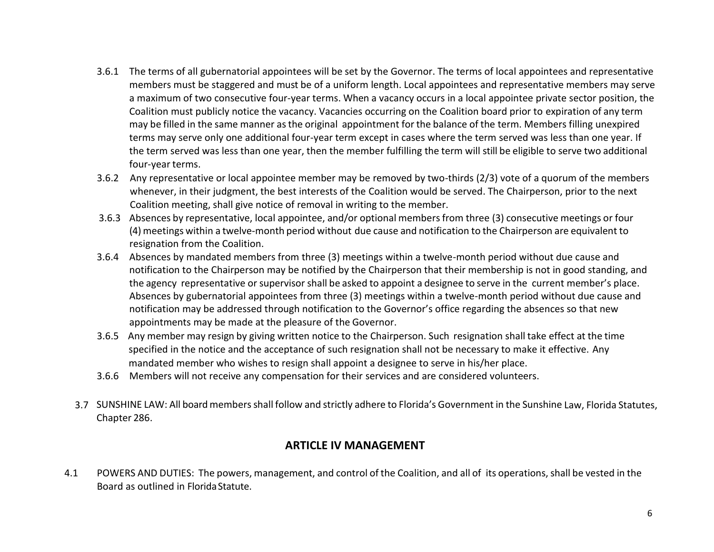- 3.6.1 The terms of all gubernatorial appointees will be set by the Governor. The terms of local appointees and representative members must be staggered and must be of a uniform length. Local appointees and representative members may serve a maximum of two consecutive four-year terms. When a vacancy occurs in a local appointee private sector position, the Coalition must publicly notice the vacancy. Vacancies occurring on the Coalition board prior to expiration of any term may be filled in the same manner asthe original appointment for the balance of the term. Members filling unexpired terms may serve only one additional four-year term except in cases where the term served was less than one year. If the term served was less than one year, then the member fulfilling the term will still be eligible to serve two additional four-year terms.
- 3.6.2 Any representative or local appointee member may be removed by two-thirds (2/3) vote of a quorum of the members whenever, in their judgment, the best interests of the Coalition would be served. The Chairperson, prior to the next Coalition meeting, shall give notice of removal in writing to the member.
- 3.6.3 Absences by representative, local appointee, and/or optional membersfrom three (3) consecutive meetings or four (4) meetings within a twelve-month period without due cause and notification to the Chairperson are equivalent to resignation from the Coalition.
- 3.6.4 Absences by mandated members from three (3) meetings within a twelve-month period without due cause and notification to the Chairperson may be notified by the Chairperson that their membership is not in good standing, and the agency representative or supervisor shall be asked to appoint a designee to serve in the current member's place. Absences by gubernatorial appointees from three (3) meetings within a twelve-month period without due cause and notification may be addressed through notification to the Governor's office regarding the absences so that new appointments may be made at the pleasure of the Governor.
- 3.6.5 Any member may resign by giving written notice to the Chairperson. Such resignation shall take effect at the time specified in the notice and the acceptance of such resignation shall not be necessary to make it effective. Any mandated member who wishes to resign shall appoint a designee to serve in his/her place.
- 3.6.6 Members will not receive any compensation for their services and are considered volunteers.
- 3.7 SUNSHINE LAW: All board members shall follow and strictly adhere to Florida's Government in the Sunshine Law, Florida Statutes, Chapter 286.

## **ARTICLE IV MANAGEMENT**

4.1 POWERS AND DUTIES: The powers, management, and control of the Coalition, and all of its operations,shall be vested in the Board as outlined in FloridaStatute.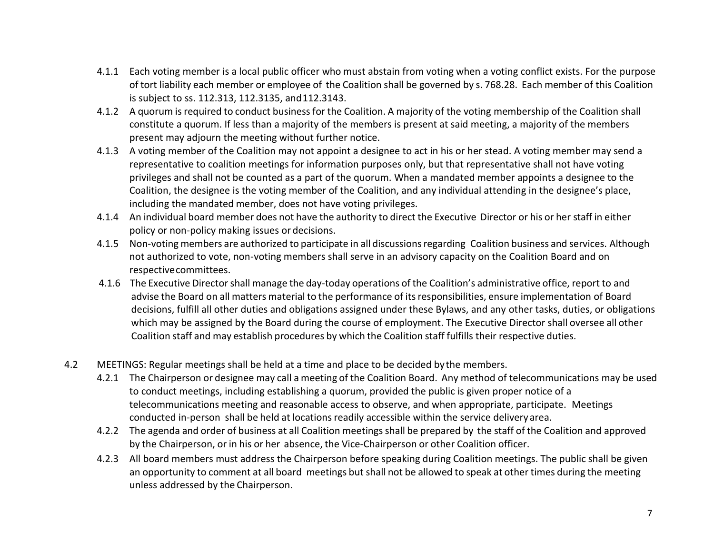- 4.1.1 Each voting member is a local public officer who must abstain from voting when a voting conflict exists. For the purpose of tort liability each member or employee of the Coalition shall be governed by s. 768.28. Each member of this Coalition is subject to ss. 112.313, 112.3135, and112.3143.
- 4.1.2 A quorum isrequired to conduct businessfor the Coalition. A majority of the voting membership of the Coalition shall constitute a quorum. If less than a majority of the members is present at said meeting, a majority of the members present may adjourn the meeting without further notice.
- 4.1.3 A voting member of the Coalition may not appoint a designee to act in his or her stead. A voting member may send a representative to coalition meetings for information purposes only, but that representative shall not have voting privileges and shall not be counted as a part of the quorum. When a mandated member appoints a designee to the Coalition, the designee is the voting member of the Coalition, and any individual attending in the designee's place, including the mandated member, does not have voting privileges.
- 4.1.4 An individual board member does not have the authority to direct the Executive Director or his or her staff in either policy or non-policy making issues or decisions.
- 4.1.5 Non-voting members are authorized to participate in all discussions regarding Coalition business and services. Although not authorized to vote, non-voting members shall serve in an advisory capacity on the Coalition Board and on respectivecommittees.
- 4.1.6 The Executive Directorshall manage the day-today operations of the Coalition's administrative office, report to and advise the Board on all matters material to the performance of itsresponsibilities, ensure implementation of Board decisions, fulfill all other duties and obligations assigned under these Bylaws, and any other tasks, duties, or obligations which may be assigned by the Board during the course of employment. The Executive Director shall oversee all other Coalition staff and may establish procedures by which the Coalition staff fulfills their respective duties.
- 4.2 MEETINGS: Regular meetings shall be held at a time and place to be decided bythe members.
	- 4.2.1 The Chairperson or designee may call a meeting of the Coalition Board. Any method of telecommunications may be used to conduct meetings, including establishing a quorum, provided the public is given proper notice of a telecommunications meeting and reasonable access to observe, and when appropriate, participate. Meetings conducted in-person shall be held at locations readily accessible within the service delivery area.
	- 4.2.2 The agenda and order of business at all Coalition meetings shall be prepared by the staff of the Coalition and approved by the Chairperson, or in his or her absence, the Vice-Chairperson or other Coalition officer.
	- 4.2.3 All board members must address the Chairperson before speaking during Coalition meetings. The public shall be given an opportunity to comment at all board meetings but shall not be allowed to speak at other times during the meeting unless addressed by the Chairperson.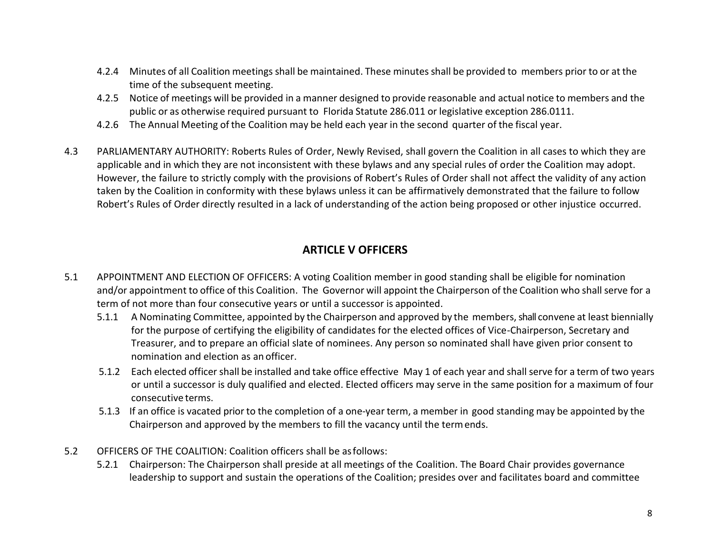- 4.2.4 Minutes of all Coalition meetings shall be maintained. These minutesshall be provided to members prior to or at the time of the subsequent meeting.
- 4.2.5 Notice of meetings will be provided in a manner designed to provide reasonable and actual notice to members and the public or as otherwise required pursuant to Florida Statute 286.011 or legislative exception 286.0111.
- 4.2.6 The Annual Meeting of the Coalition may be held each year in the second quarter of the fiscal year.
- 4.3 PARLIAMENTARY AUTHORITY: Roberts Rules of Order, Newly Revised, shall govern the Coalition in all cases to which they are applicable and in which they are not inconsistent with these bylaws and any special rules of order the Coalition may adopt. However, the failure to strictly comply with the provisions of Robert's Rules of Order shall not affect the validity of any action taken by the Coalition in conformity with these bylaws unless it can be affirmatively demonstrated that the failure to follow Robert's Rules of Order directly resulted in a lack of understanding of the action being proposed or other injustice occurred.

### **ARTICLE V OFFICERS**

- 5.1 APPOINTMENT AND ELECTION OF OFFICERS: A voting Coalition member in good standing shall be eligible for nomination and/or appointment to office of this Coalition. The Governor will appoint the Chairperson of the Coalition who shall serve for a term of not more than four consecutive years or until a successor is appointed.
	- 5.1.1 A Nominating Committee, appointed by the Chairperson and approved by the members, shall convene at least biennially for the purpose of certifying the eligibility of candidates for the elected offices of Vice-Chairperson, Secretary and Treasurer, and to prepare an official slate of nominees. Any person so nominated shall have given prior consent to nomination and election as an officer.
	- 5.1.2 Each elected officer shall be installed and take office effective May 1 of each year and shallserve for a term of two years or until a successor is duly qualified and elected. Elected officers may serve in the same position for a maximum of four consecutive terms.
	- 5.1.3 If an office is vacated prior to the completion of a one-year term, a member in good standing may be appointed by the Chairperson and approved by the members to fill the vacancy until the termends.
- 5.2 OFFICERS OF THE COALITION: Coalition officers shall be asfollows:
	- 5.2.1 Chairperson: The Chairperson shall preside at all meetings of the Coalition. The Board Chair provides governance leadership to support and sustain the operations of the Coalition; presides over and facilitates board and committee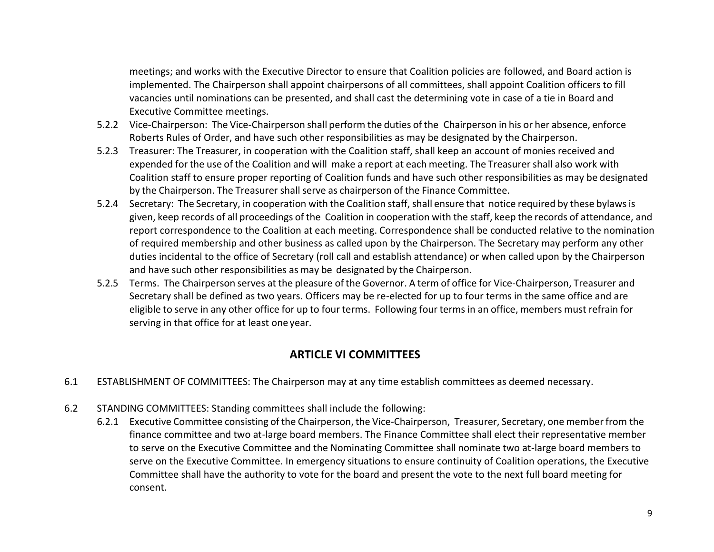meetings; and works with the Executive Director to ensure that Coalition policies are followed, and Board action is implemented. The Chairperson shall appoint chairpersons of all committees, shall appoint Coalition officers to fill vacancies until nominations can be presented, and shall cast the determining vote in case of a tie in Board and Executive Committee meetings.

- 5.2.2 Vice-Chairperson: The Vice-Chairperson shall perform the duties of the Chairperson in his or her absence, enforce Roberts Rules of Order, and have such other responsibilities as may be designated by the Chairperson.
- 5.2.3 Treasurer: The Treasurer, in cooperation with the Coalition staff, shall keep an account of monies received and expended for the use of the Coalition and will make a report at each meeting. The Treasurershall also work with Coalition staff to ensure proper reporting of Coalition funds and have such other responsibilities as may be designated by the Chairperson. The Treasurer shall serve as chairperson of the Finance Committee.
- 5.2.4 Secretary: The Secretary, in cooperation with the Coalition staff,shall ensure that notice required by these bylawsis given, keep records of all proceedings of the Coalition in cooperation with the staff, keep the records of attendance, and report correspondence to the Coalition at each meeting. Correspondence shall be conducted relative to the nomination of required membership and other business as called upon by the Chairperson. The Secretary may perform any other duties incidental to the office of Secretary (roll call and establish attendance) or when called upon by the Chairperson and have such other responsibilities as may be designated by the Chairperson.
- 5.2.5 Terms. The Chairperson serves at the pleasure of the Governor. A term of office for Vice-Chairperson, Treasurer and Secretary shall be defined as two years. Officers may be re-elected for up to four terms in the same office and are eligible to serve in any other office for up to four terms. Following four terms in an office, members must refrain for serving in that office for at least one year.

## **ARTICLE VI COMMITTEES**

- 6.1 ESTABLISHMENT OF COMMITTEES: The Chairperson may at any time establish committees as deemed necessary.
- 6.2 STANDING COMMITTEES: Standing committees shall include the following:
	- 6.2.1 Executive Committee consisting of the Chairperson, the Vice-Chairperson, Treasurer, Secretary, one memberfrom the finance committee and two at-large board members. The Finance Committee shall elect their representative member to serve on the Executive Committee and the Nominating Committee shall nominate two at-large board members to serve on the Executive Committee. In emergency situations to ensure continuity of Coalition operations, the Executive Committee shall have the authority to vote for the board and present the vote to the next full board meeting for consent.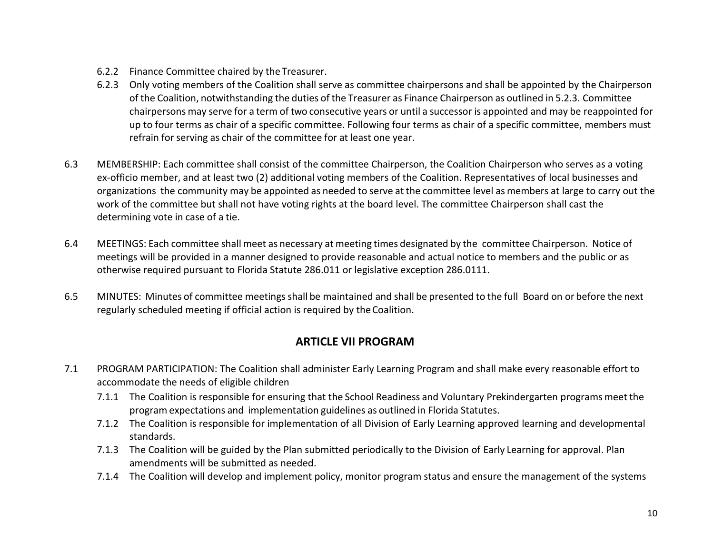- 6.2.2 Finance Committee chaired by the Treasurer.
- 6.2.3 Only voting members of the Coalition shall serve as committee chairpersons and shall be appointed by the Chairperson of the Coalition, notwithstanding the duties of the Treasurer as Finance Chairperson as outlined in 5.2.3. Committee chairpersons may serve for a term of two consecutive years or until a successor is appointed and may be reappointed for up to four terms as chair of a specific committee. Following four terms as chair of a specific committee, members must refrain for serving as chair of the committee for at least one year.
- 6.3 MEMBERSHIP: Each committee shall consist of the committee Chairperson, the Coalition Chairperson who serves as a voting ex-officio member, and at least two (2) additional voting members of the Coalition. Representatives of local businesses and organizations the community may be appointed as needed to serve at the committee level as members at large to carry out the work of the committee but shall not have voting rights at the board level. The committee Chairperson shall cast the determining vote in case of a tie.
- 6.4 MEETINGS: Each committee shall meet as necessary at meeting times designated by the committee Chairperson. Notice of meetings will be provided in a manner designed to provide reasonable and actual notice to members and the public or as otherwise required pursuant to Florida Statute 286.011 or legislative exception 286.0111.
- 6.5 MINUTES: Minutes of committee meetings shall be maintained and shall be presented to the full Board on or before the next regularly scheduled meeting if official action is required by theCoalition.

## **ARTICLE VII PROGRAM**

- 7.1 PROGRAM PARTICIPATION: The Coalition shall administer Early Learning Program and shall make every reasonable effort to accommodate the needs of eligible children
	- 7.1.1 The Coalition is responsible for ensuring that the School Readiness and Voluntary Prekindergarten programs meet the program expectations and implementation guidelines as outlined in Florida Statutes.
	- 7.1.2 The Coalition is responsible for implementation of all Division of Early Learning approved learning and developmental standards.
	- 7.1.3 The Coalition will be guided by the Plan submitted periodically to the Division of Early Learning for approval. Plan amendments will be submitted as needed.
	- 7.1.4 The Coalition will develop and implement policy, monitor program status and ensure the management of the systems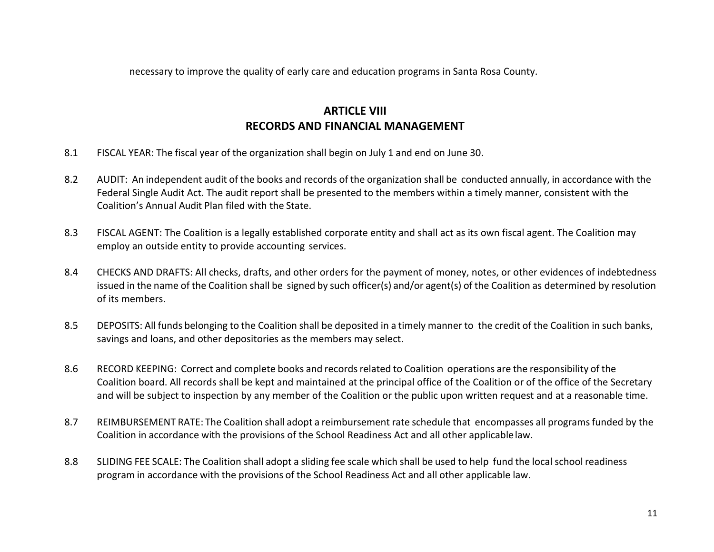necessary to improve the quality of early care and education programs in Santa Rosa County.

# **ARTICLE VIII RECORDS AND FINANCIAL MANAGEMENT**

- 8.1 FISCAL YEAR: The fiscal year of the organization shall begin on July 1 and end on June 30.
- 8.2 AUDIT: An independent audit of the books and records of the organization shall be conducted annually, in accordance with the Federal Single Audit Act. The audit report shall be presented to the members within a timely manner, consistent with the Coalition's Annual Audit Plan filed with the State.
- 8.3 FISCAL AGENT: The Coalition is a legally established corporate entity and shall act as its own fiscal agent. The Coalition may employ an outside entity to provide accounting services.
- 8.4 CHECKS AND DRAFTS: All checks, drafts, and other orders for the payment of money, notes, or other evidences of indebtedness issued in the name of the Coalition shall be signed by such officer(s) and/or agent(s) of the Coalition as determined by resolution of its members.
- 8.5 DEPOSITS: All funds belonging to the Coalition shall be deposited in a timely manner to the credit of the Coalition in such banks, savings and loans, and other depositories as the members may select.
- 8.6 RECORD KEEPING: Correct and complete books and records related to Coalition operations are the responsibility of the Coalition board. All records shall be kept and maintained at the principal office of the Coalition or of the office of the Secretary and will be subject to inspection by any member of the Coalition or the public upon written request and at a reasonable time.
- 8.7 REIMBURSEMENT RATE: The Coalition shall adopt a reimbursement rate schedule that encompasses all programs funded by the Coalition in accordance with the provisions of the School Readiness Act and all other applicablelaw.
- 8.8 SLIDING FEE SCALE: The Coalition shall adopt a sliding fee scale which shall be used to help fund the local school readiness program in accordance with the provisions of the School Readiness Act and all other applicable law.